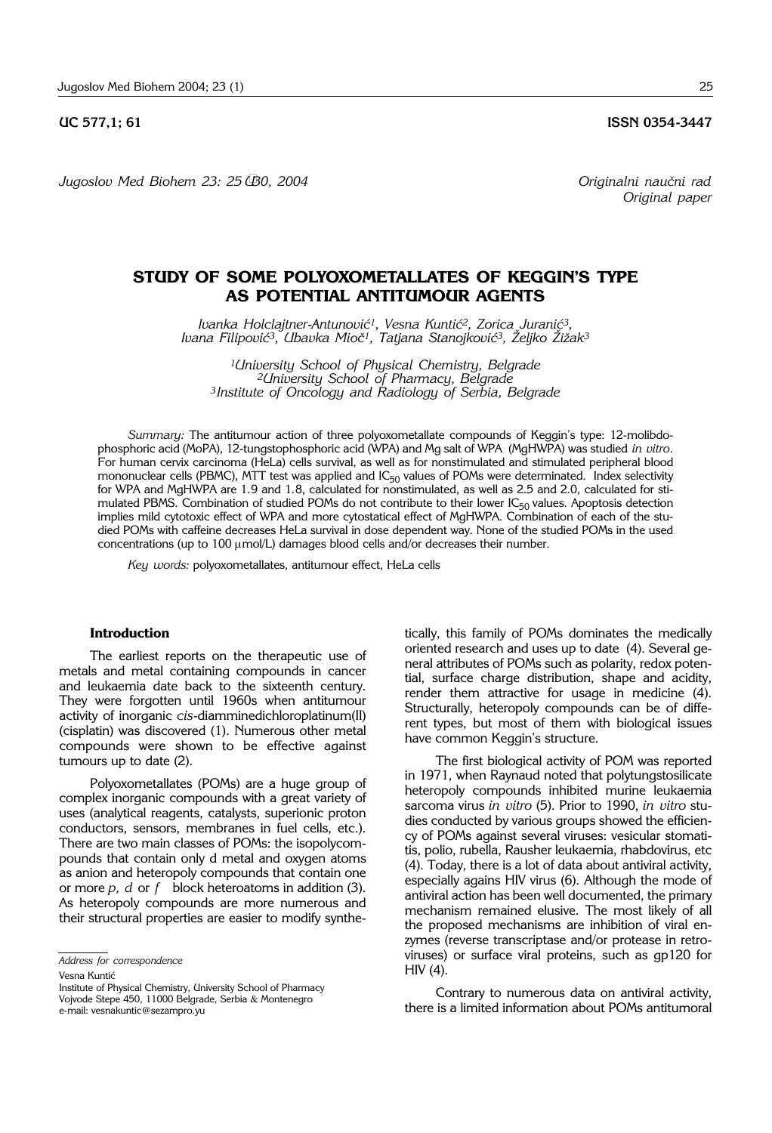**UC 577,1; 61 ISSN 0354-3447** 

*Jugoslov Med Biohem 23: 25 –30, 2004 Originalni nau~ni rad*

# **STUDY OF SOME POLYOXOMETALLATES OF KEGGIN'S TYPE AS POTENTIAL ANTITUMOUR AGENTS**

*Ivanka Holclajtner*-*Antunovi}1, Vesna Kunti}2, Zorica Jurani}3,*  Ivana Filipović<sup>3</sup>, Ubavka Mioč<sup>1</sup>, Tatjana Stanojković<sup>3</sup>, Željko Žižak<sup>3</sup>

*1University School of Physical Chemistry, Belgrade 2University School of Pharmacy, Belgrade 3Institute of Oncology and Radiology of Serbia, Belgrade*

*Summary:* The antitumour action of three polyoxometallate compounds of Keggin's type: 12-molibdophosphoric acid (MoPA), 12-tungstophosphoric acid (WPA) and Mg salt of WPA (MgHWPA) was studied *in vitro.* For human cervix carcinoma (HeLa) cells survival, as well as for nonstimulated and stimulated peripheral blood mononuclear cells (PBMC), MTT test was applied and  $IC_{50}$  values of POMs were determinated. Index selectivity for WPA and MgHWPA are 1.9 and 1.8, calculated for nonstimulated, as well as 2.5 and 2.0, calculated for stimulated PBMS. Combination of studied POMs do not contribute to their lower  $IC_{50}$  values. Apoptosis detection implies mild cytotoxic effect of WPA and more cytostatical effect of MgHWPA. Combination of each of the studied POMs with caffeine decreases HeLa survival in dose dependent way. None of the studied POMs in the used concentrations (up to  $100 \mu \text{mol/L}$ ) damages blood cells and/or decreases their number.

*Key words:* polyoxometallates, antitumour effect, HeLa cells

# **Introduction**

The earliest reports on the therapeutic use of metals and metal containing compounds in cancer and leukaemia date back to the sixteenth century. They were forgotten until 1960s when antitumour activity of inorganic *cis*-diamminedichloroplatinum(II) (cisplatin) was discovered (1). Numerous other metal compounds were shown to be effective against tumours up to date (2).

Polyoxometallates (POMs) are a huge group of complex inorganic compounds with a great variety of uses (analytical reagents, catalysts, superionic proton conductors, sensors, membranes in fuel cells, etc.). There are two main classes of POMs: the isopolycompounds that contain only d metal and oxygen atoms as anion and heteropoly compounds that contain one or more *p, d* or *f* ' block heteroatoms in addition (3). As heteropoly compounds are more numerous and their structural properties are easier to modify synthe-

Institute of Physical Chemistry, University School of Pharmacy Vojvode Stepe 450, 11000 Belgrade, Serbia & Montenegro e-mail: vesnakuntic@sezampro.yu

tically, this family of POMs dominates the medically oriented research and uses up to date (4). Several general attributes of POMs such as polarity, redox potential, surface charge distribution, shape and acidity, render them attractive for usage in medicine (4). Structurally, heteropoly compounds can be of different types, but most of them with biological issues have common Keggin's structure.

The first biological activity of POM was reported in 1971, when Raynaud noted that polytungstosilicate heteropoly compounds inhibited murine leukaemia sarcoma virus *in vitro* (5). Prior to 1990, *in vitro* studies conducted by various groups showed the efficiency of POMs against several viruses: vesicular stomatitis, polio, rubella, Rausher leukaemia, rhabdovirus, etc (4). Today, there is a lot of data about antiviral activity, especially agains HIV virus (6). Although the mode of antiviral action has been well documented, the primary mechanism remained elusive. The most likely of all the proposed mechanisms are inhibition of viral enzymes (reverse transcriptase and/or protease in retroviruses) or surface viral proteins, such as gp120 for HIV (4).

Contrary to numerous data on antiviral activity, there is a limited information about POMs antitumoral

*Address for correspondence*

Vesna Kuntić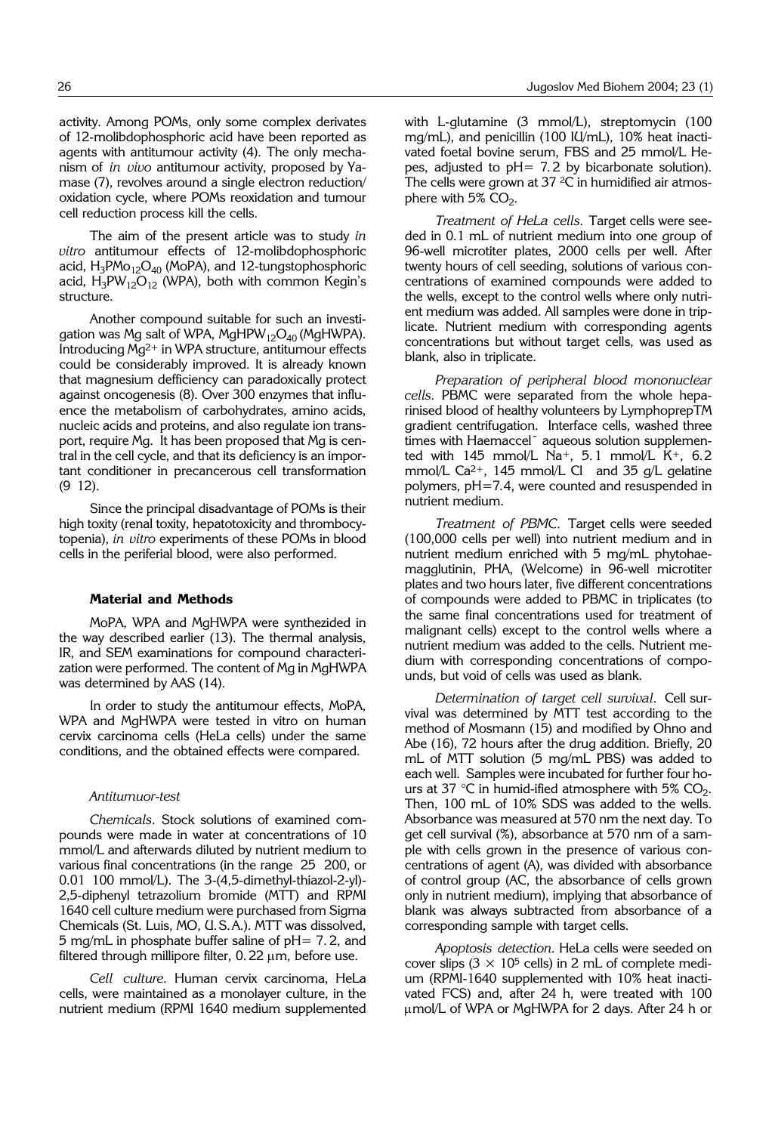activity. Among POMs, only some complex derivates of 12-molibdophosphoric acid have been reported as agents with antitumour activity (4). The only mechanism of *in vivo* antitumour activity, proposed by Yamase (7), revolves around a single electron reduction/ oxidation cycle, where POMs reoxidation and tumour cell reduction process kill the cells.

The aim of the present article was to study *in vitro* antitumour effects of 12-molibdophosphoric acid,  $H_3PMo_{12}O_{40}$  (MoPA), and 12-tungstophosphoric acid,  $H_3PW_{12}O_{12}$  (WPA), both with common Kegin's structure.

Another compound suitable for such an investigation was Mg salt of WPA, MgHPW<sub>12</sub>O<sub>40</sub> (MgHWPA). Introducing Mg2+ in WPA structure, antitumour effects could be considerably improved. It is already known that magnesium defficiency can paradoxically protect against oncogenesis (8). Over 300 enzymes that influence the metabolism of carbohydrates, amino acids, nucleic acids and proteins, and also regulate ion transport, require Mg. It has been proposed that Mg is central in the cell cycle, and that its deficiency is an important conditioner in precancerous cell transformation  $(9 12)$ .

Since the principal disadvantage of POMs is their high toxity (renal toxity, hepatotoxicity and thrombocytopenia), *in vitro* experiments of these POMs in blood cells in the periferial blood, were also performed.

#### **Material and Methods**

MoPA, WPA and MgHWPA were synthezided in the way described earlier (13). The thermal analysis, IR, and SEM examinations for compound characterization were performed. The content of Mg in MgHWPA was determined by AAS (14).

In order to study the antitumour effects, MoPA, WPA and MgHWPA were tested in vitro on human cervix carcinoma cells (HeLa cells) under the same conditions, and the obtained effects were compared.

#### *Antitumuor*-*test*

*Chemicals*. Stock solutions of examined compounds were made in water at concentrations of 10 mmol/L and afterwards diluted by nutrient medium to various final concentrations (in the range 25'200, or 0.01'100 mmol/L). The 3-(4,5-dimethyl-thiazol-2-yl)- 2,5-diphenyl tetrazolium bromide (MTT) and RPMI 1640 cell culture medium were purchased from Sigma Chemicals (St. Luis, MO, U.S.A.). MTT was dissolved, 5 mg/mL in phosphate buffer saline of pH= 7. 2, and filtered through millipore filter,  $0.22 \mu m$ , before use.

*Cell culture.* Human cervix carcinoma, HeLa cells, were maintained as a monolayer culture, in the nutrient medium (RPMI 1640 medium supplemented with L-glutamine (3 mmol/L), streptomycin (100 mg/mL), and penicillin (100 IU/mL), 10% heat inactivated foetal bovine serum, FBS and 25 mmol/L Hepes, adjusted to pH= 7. 2 by bicarbonate solution). The cells were grown at 37  $2C$  in humidified air atmosphere with  $5\%$  CO<sub>2</sub>.

*Treatment of HeLa cells.* Target cells were seeded in 0.1 mL of nutrient medium into one group of 96-well microtiter plates, 2000 cells per well. After twenty hours of cell seeding, solutions of various concentrations of examined compounds were added to the wells, except to the control wells where only nutrient medium was added. All samples were done in triplicate. Nutrient medium with corresponding agents concentrations but without target cells, was used as blank, also in triplicate.

*Preparation of peripheral blood mononuclear cells.* PBMC were separated from the whole heparinised blood of healthy volunteers by LymphoprepTM gradient centrifugation. Interface cells, washed three times with Haemaccel<sup>®</sup> aqueous solution supplemented with  $145$  mmol/L Na<sup>+</sup>, 5.1 mmol/L K<sup>+</sup>, 6.2 mmol/L Ca<sup>2+</sup>, 145 mmol/L Cl and 35  $g/L$  gelatine polymers, pH=7.4, were counted and resuspended in nutrient medium.

*Treatment of PBMC.* Target cells were seeded (100,000 cells per well) into nutrient medium and in nutrient medium enriched with 5 mg/mL phytohaemagglutinin, PHA, (Welcome) in 96-well microtiter plates and two hours later, five different concentrations of compounds were added to PBMC in triplicates (to the same final concentrations used for treatment of malignant cells) except to the control wells where a nutrient medium was added to the cells. Nutrient medium with corresponding concentrations of compounds, but void of cells was used as blank.

*Determination of target cell survival*. Cell survival was determined by MTT test according to the method of Mosmann (15) and modified by Ohno and Abe (16), 72 hours after the drug addition. Briefly, 20 mL of MTT solution (5 mg/mL PBS) was added to each well. Samples were incubated for further four hours at 37 °C in humid-ified atmosphere with 5%  $CO<sub>2</sub>$ . Then, 100 mL of 10% SDS was added to the wells. Absorbance was measured at 570 nm the next day. To get cell survival (%), absorbance at 570 nm of a sample with cells grown in the presence of various concentrations of agent (A), was divided with absorbance of control group (AC, the absorbance of cells grown only in nutrient medium), implying that absorbance of blank was always subtracted from absorbance of a corresponding sample with target cells.

*Apoptosis detection.* HeLa cells were seeded on cover slips  $(3 \times 10^5 \text{ cells})$  in 2 mL of complete medium (RPMI-1640 supplemented with 10% heat inactivated FCS) and, after 24 h, were treated with 100 mmol/L of WPA or MgHWPA for 2 days. After 24 h or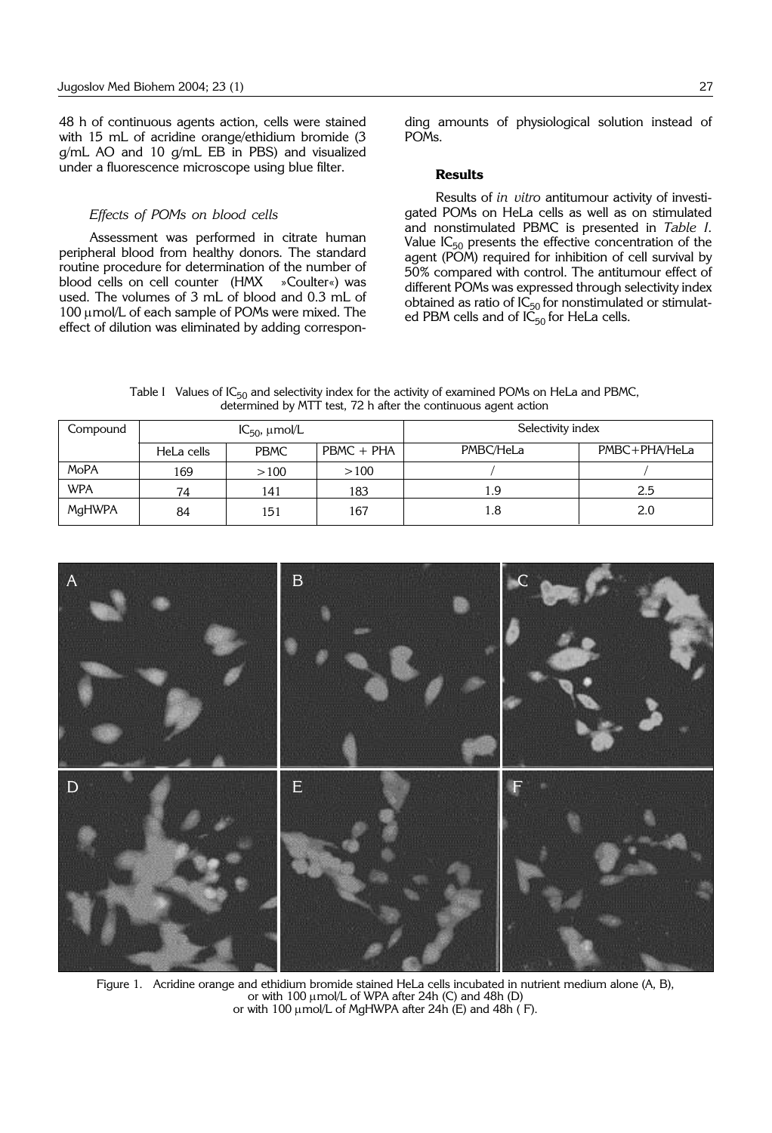48 h of continuous agents action, cells were stained with 15 mL of acridine orange/ethidium bromide (3 g/mL AO and 10 g/mL EB in PBS) and visualized under a fluorescence microscope using blue filter.

### *Effects of POMs on blood cells*

Assessment was performed in citrate human peripheral blood from healthy donors. The standard routine procedure for determination of the number of blood cells on cell counter (HMX »Coulter«) was used. The volumes of 3 mL of blood and 0.3 mL of 100  $\mu$ mol/L of each sample of POMs were mixed. The effect of dilution was eliminated by adding corresponding amounts of physiological solution instead of POMs.

## **Results**

Results of *in vitro* antitumour activity of investigated POMs on HeLa cells as well as on stimulated and nonstimulated PBMC is presented in *Table I*. Value  $IC_{50}$  presents the effective concentration of the agent (POM) required for inhibition of cell survival by 50% compared with control. The antitumour effect of different POMs was expressed through selectivity index obtained as ratio of  $IC_{50}$  for nonstimulated or stimulated PBM cells and of  $I\tilde{\mathsf{C}}_{50}$  for HeLa cells.

Table I Values of  $IC_{50}$  and selectivity index for the activity of examined POMs on HeLa and PBMC, determined by MTT test, 72 h after the continuous agent action

| Compound    | $IC_{50}$ , $\mu$ mol/L |             |            | Selectivity index |               |
|-------------|-------------------------|-------------|------------|-------------------|---------------|
|             | HeLa cells              | <b>PBMC</b> | PBMC + PHA | PMBC/HeLa         | PMBC+PHA/HeLa |
| <b>MoPA</b> | 169                     | >100        | >100       |                   |               |
| <b>WPA</b>  | 74                      | 141         | 183        | 1.9               | 2.5           |
| MgHWPA      | 84                      | 151         | 167        | 1.8               | 2.0           |



Figure 1. Acridine orange and ethidium bromide stained HeLa cells incubated in nutrient medium alone (A, B), or with  $100 \mu$ mol/L of WPA after 24h (C) and 48h (D) or with 100  $\mu$ mol/L of MgHWPA after 24h (E) and 48h (F).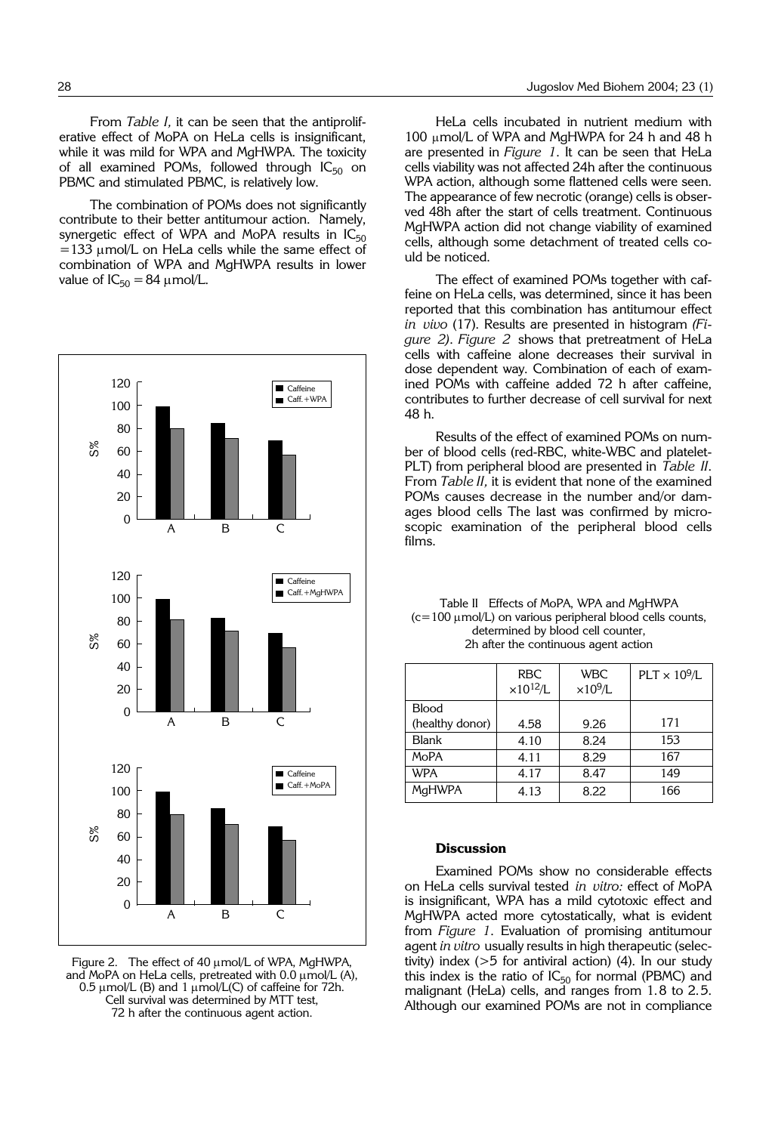From *Table I,* it can be seen that the antiproliferative effect of MoPA on HeLa cells is insignificant, while it was mild for WPA and MgHWPA. The toxicity of all examined POMs, followed through  $IC_{50}$  on PBMC and stimulated PBMC, is relatively low.

The combination of POMs does not significantly contribute to their better antitumour action. Namely, synergetic effect of WPA and MoPA results in  $IC_{50}$  $=133$  µmol/L on HeLa cells while the same effect of combination of WPA and MgHWPA results in lower value of  $IC_{50} = 84 \mu$  mol/L.



Figure 2. The effect of 40 µmol/L of WPA, MgHWPA and MoPA on HeLa cells, pretreated with  $0.0 \mu$ mol/L (A),  $0.5 \mu$ mol/L (B) and 1  $\mu$ mol/L(C) of caffeine for 72h. Cell survival was determined by MTT test, 72 h after the continuous agent action.

HeLa cells incubated in nutrient medium with 100 µmol/L of WPA and MgHWPA for 24 h and 48 h are presented in *Figure 1*. It can be seen that HeLa cells viability was not affected 24h after the continuous WPA action, although some flattened cells were seen. The appearance of few necrotic (orange) cells is observed 48h after the start of cells treatment. Continuous MgHWPA action did not change viability of examined cells, although some detachment of treated cells could be noticed.

The effect of examined POMs together with caffeine on HeLa cells, was determined, since it has been reported that this combination has antitumour effect *in vivo* (17). Results are presented in histogram *(Figure 2)*. *Figure 2* shows that pretreatment of HeLa cells with caffeine alone decreases their survival in dose dependent way. Combination of each of examined POMs with caffeine added 72 h after caffeine, contributes to further decrease of cell survival for next 48 h.

Results of the effect of examined POMs on number of blood cells (red-RBC, white-WBC and platelet-PLT) from peripheral blood are presented in *Table II*. From *Table II,* it is evident that none of the examined POMs causes decrease in the number and/or damages blood cells The last was confirmed by microscopic examination of the peripheral blood cells films.

| Table II Effects of MoPA, WPA and MgHWPA                             |  |  |  |  |  |  |
|----------------------------------------------------------------------|--|--|--|--|--|--|
| $(c=100 \mu \text{mol/L})$ on various peripheral blood cells counts, |  |  |  |  |  |  |
| determined by blood cell counter,                                    |  |  |  |  |  |  |
| 2h after the continuous agent action                                 |  |  |  |  |  |  |
|                                                                      |  |  |  |  |  |  |

|                 | <b>RBC</b><br>$\times 10^{12}/L$ | <b>WBC</b><br>$\times10^9$ /L | $PLT \times 10^9/L$ |
|-----------------|----------------------------------|-------------------------------|---------------------|
| <b>Blood</b>    |                                  |                               |                     |
| (healthy donor) | 4.58                             | 9.26                          | 171                 |
| <b>Blank</b>    | 4.10                             | 8.24                          | 153                 |
| <b>MoPA</b>     | 4.11                             | 8.29                          | 167                 |
| <b>WPA</b>      | 4.17                             | 8.47                          | 149                 |
| <b>MaHWPA</b>   | 4.13                             | 8.22                          | 166                 |

# **Discussion**

Examined POMs show no considerable effects on HeLa cells survival tested *in vitro:* effect of MoPA is insignificant, WPA has a mild cytotoxic effect and MgHWPA acted more cytostatically, what is evident from *Figure 1*. Evaluation of promising antitumour agent *in vitro* usually results in high therapeutic (selectivity) index (>5 for antiviral action) (4). In our study this index is the ratio of  $IC_{50}$  for normal (PBMC) and malignant (HeLa) cells, and ranges from 1.8 to 2.5. Although our examined POMs are not in compliance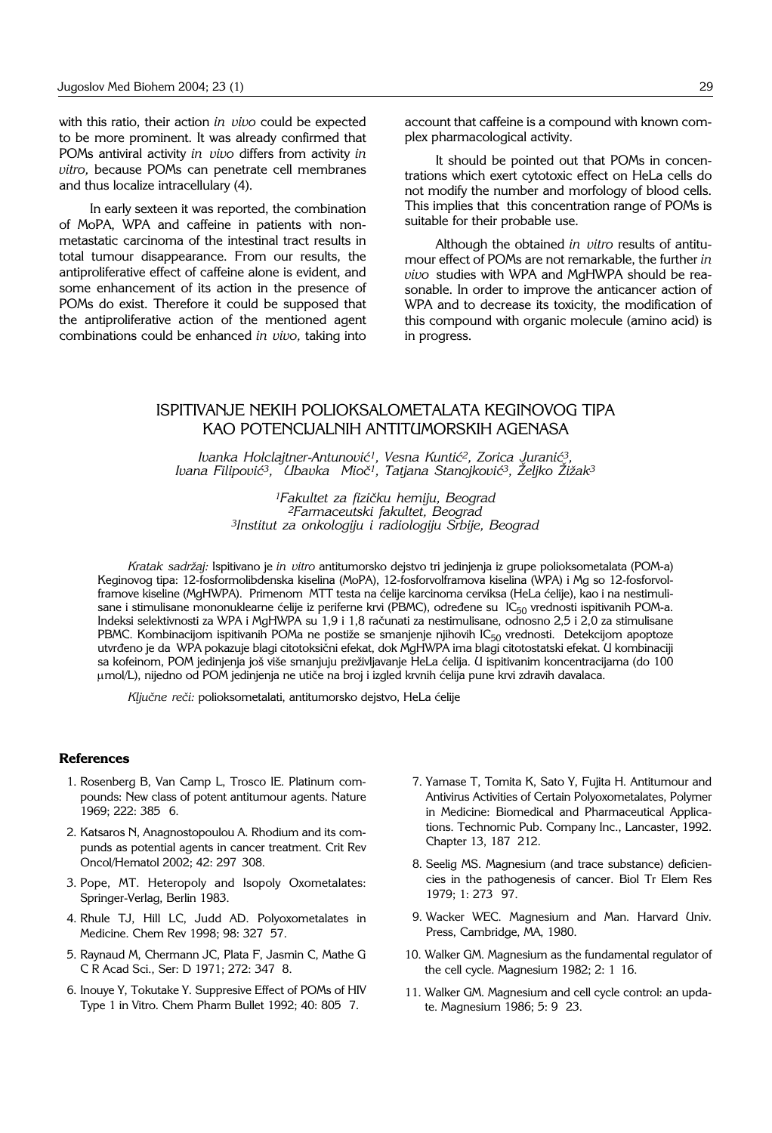with this ratio, their action *in vivo* could be expected to be more prominent. It was already confirmed that POMs antiviral activity *in vivo* differs from activity *in vitro,* because POMs can penetrate cell membranes and thus localize intracellulary (4).

In early sexteen it was reported, the combination of MoPA, WPA and caffeine in patients with nonmetastatic carcinoma of the intestinal tract results in total tumour disappearance. From our results, the antiproliferative effect of caffeine alone is evident, and some enhancement of its action in the presence of POMs do exist. Therefore it could be supposed that the antiproliferative action of the mentioned agent combinations could be enhanced *in vivo,* taking into account that caffeine is a compound with known complex pharmacological activity.

It should be pointed out that POMs in concentrations which exert cytotoxic effect on HeLa cells do not modify the number and morfology of blood cells. This implies that this concentration range of POMs is suitable for their probable use.

Although the obtained *in vitro* results of antitumour effect of POMs are not remarkable, the further *in vivo* studies with WPA and MgHWPA should be reasonable. In order to improve the anticancer action of WPA and to decrease its toxicity, the modification of this compound with organic molecule (amino acid) is in progress.

# ISPITIVANJE NEKIH POLIOKSALOMETALATA KEGINOVOG TIPA KAO POTENCIJALNIH ANTITUMORSKIH AGENASA

*Ivanka Holclajtner-Antunović<sup>1</sup>, Vesna Kuntić<sup>2</sup>, Zorica Juranić<sup>3</sup>,* Ivana Filipović<sup>3</sup>, Ubavka Mioč<sup>1</sup>, Tatjana Stanojković<sup>3</sup>, Željko Žižak<sup>3</sup>

> <sup>1</sup>Fakultet za fizičku hemiju, Beograd *2Farmaceutski fakultet, Beograd 3Institut za onkologiju i radiologiju Srbije, Beograd*

*Kratak sadr`aj:* Ispitivano je *in vitro* antitumorsko dejstvo tri jedinjenja iz grupe polioksometalata (POM-a) Keginovog tipa: 12-fosformolibdenska kiselina (MoPA), 12-fosforvolframova kiselina (WPA) i Mg so 12-fosforvolframove kiseline (MgHWPA). Primenom MTT testa na ćelije karcinoma cerviksa (HeLa ćelije), kao i na nestimulisane i stimulisane mononuklearne ćelije iz periferne krvi (PBMC), određene su IC<sub>50</sub> vrednosti ispitivanih POM-a. Indeksi selektivnosti za WPA i MgHWPA su 1,9 i 1,8 računati za nestimulisane, odnosno 2,5 i 2,0 za stimulisane PBMC. Kombinacijom ispitivanih POMa ne postiže se smanjenje njihovih  $IC_{50}$  vrednosti. Detekcijom apoptoze utvrđeno je da WPA pokazuje blagi citotoksični efekat, dok MgHWPA ima blagi citotostatski efekat. U kombinaciji sa kofeinom, POM jedinjenja još više smanjuju preživljavanje HeLa ćelija. U ispitivanim koncentracijama (do 100 µmol/L), nijedno od POM jedinjenja ne utiče na broj i izgled krvnih ćelija pune krvi zdravih davalaca.

Ključne reči: polioksometalati, antitumorsko dejstvo, HeLa ćelije

#### **References**

- 1. Rosenberg B, Van Camp L, Trosco IE. Platinum compounds: New class of potent antitumour agents. Nature 1969; 222: 385 6.
- 2. Katsaros N, Anagnostopoulou A. Rhodium and its compunds as potential agents in cancer treatment. Crit Rev Oncol/Hematol 2002; 42: 297 308.
- 3. Pope, MT. Heteropoly and Isopoly Oxometalates: Springer-Verlag, Berlin 1983.
- 4. Rhule TJ, Hill LC, Judd AD. Polyoxometalates in Medicine. Chem Rev 1998; 98: 327 57.
- 5. Raynaud M, Chermann JC, Plata F, Jasmin C, Mathe G C R Acad Sci., Ser: D 1971; 272: 347' 8.
- 6. Inouye Y, Tokutake Y. Suppresive Effect of POMs of HIV Type 1 in Vitro. Chem Pharm Bullet 1992; 40: 805'7.
- 7. Yamase T, Tomita K, Sato Y, Fujita H. Antitumour and Antivirus Activities of Certain Polyoxometalates, Polymer in Medicine: Biomedical and Pharmaceutical Applications. Technomic Pub. Company Inc., Lancaster, 1992. Chapter 13, 187 212.
- 8. Seelig MS. Magnesium (and trace substance) deficiencies in the pathogenesis of cancer. Biol Tr Elem Res 1979; 1: 273 97.
- 9. Wacker WEC. Magnesium and Man. Harvard Univ. Press, Cambridge, MA, 1980.
- 10. Walker GM. Magnesium as the fundamental regulator of the cell cycle. Magnesium 1982; 2: 1 16.
- 11. Walker GM. Magnesium and cell cycle control: an update. Magnesium 1986; 5: 9 23.